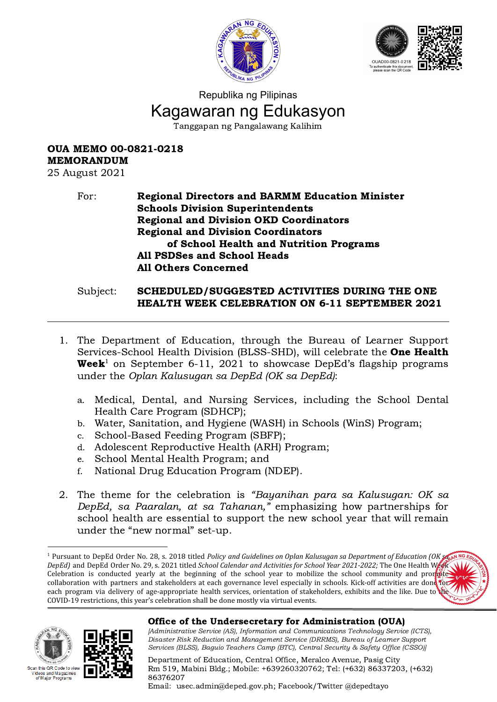



# Republika ng Pilipinas Kagawaran ng Edukasyon Tanggapan ng Pangalawang Kalihim

# OUA MEMO 00-0821-0218 MEMORANDUM

25 August 2021

#### For: Regional Directors and BARMM Education Minister Schools Division Superintendents Regional and Division OKD Coordinators Regional and Division Coordinators of School Health and Nutrition Programs All PSDSes and School Heads All Others Concerned

#### Subject: SCHEDULED/SUGGESTED ACTIVITIES DURING THE ONE HEALTH WEEK CELEBRATION ON 6-11 SEPTEMBER 2021

- 1. The Department of Education, through the Bureau of Learner Support Services-School Health Division (BLSS-SHD), will celebrate the One Health **Week**<sup>1</sup> on September 6-11, 2021 to showcase DepEd's flagship programs under the Oplan Kalusugan sa DepEd (OK sa DepEd):
	- a. Medical, Dental, and Nursing Services, including the School Dental Health Care Program (SDHCP);
	- b. Water, Sanitation, and Hygiene (WASH) in Schools (WinS) Program;
	- c. School-Based Feeding Program (SBFP);
	- d. Adolescent Reproductive Health (ARH) Program;
	- e. School Mental Health Program; and
	- f. National Drug Education Program (NDEP).
- 2. The theme for the celebration is "Bayanihan para sa Kalusugan: OK sa DepEd, sa Paaralan, at sa Tahanan," emphasizing how partnerships for school health are essential to support the new school year that will remain under the "new normal" set-up.

<sup>1</sup> Pursuant to DepEd Order No. 28, s. 2018 titled *Policy and Guidelines on Oplan Kalusugan sa Department of Education (OK sa DepEd)* and DepEd Order No. 29, s. 2021 titled *School Calendar and Activities for School Year 2021-2022;* The One Health Week Celebration is conducted yearly at the beginning of the school year to mobilize the school community and promote collaboration with partners and stakeholders at each governance level especially in schools. Kick-off activities are done for each program via delivery of age-appropriate health services, orientation of stakeholders, exhibits and the like. Due to  $\psi$ COVID-19 restrictions, this year's celebration shall be done mostly via virtual events.





# Office of the Undersecretary for Administration (OUA)

[Administrative Service (AS), Information and Communications Technology Service (ICTS), Disaster Risk Reduction and Management Service (DRRMS), Bureau of Learner Support Services (BLSS), Baguio Teachers Camp (BTC), Central Security & Safety Office (CSSO)]

Department of Education, Central Office, Meralco Avenue, Pasig City Rm 519, Mabini Bldg.; Mobile: +639260320762; Tel: (+632) 86337203, (+632) 86376207

Email: [usec.admin@deped.gov.ph;](mailto:usec.admin@deped.gov.ph) Facebook/Twitter @depedtayo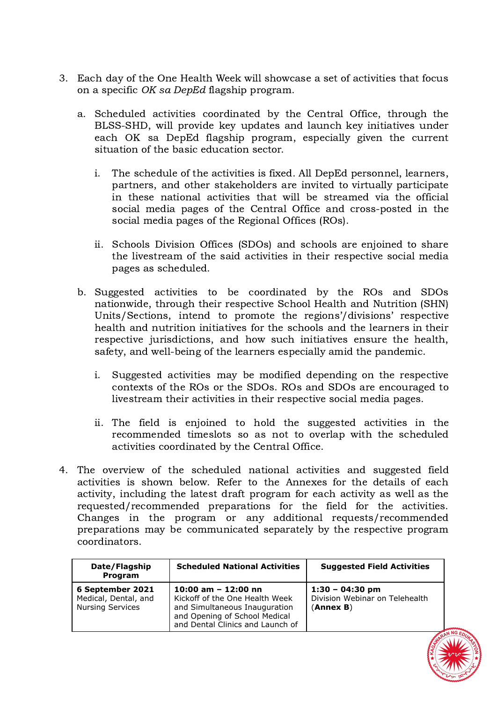- 3. Each day of the One Health Week will showcase a set of activities that focus on a specific OK sa DepEd flagship program.
	- a. Scheduled activities coordinated by the Central Office, through the BLSS-SHD, will provide key updates and launch key initiatives under each OK sa DepEd flagship program, especially given the current situation of the basic education sector.
		- i. The schedule of the activities is fixed. All DepEd personnel, learners, partners, and other stakeholders are invited to virtually participate in these national activities that will be streamed via the official social media pages of the Central Office and cross-posted in the social media pages of the Regional Offices (ROs).
		- ii. Schools Division Offices (SDOs) and schools are enjoined to share the livestream of the said activities in their respective social media pages as scheduled.
	- b. Suggested activities to be coordinated by the ROs and SDOs nationwide, through their respective School Health and Nutrition (SHN) Units/Sections, intend to promote the regions'/divisions' respective health and nutrition initiatives for the schools and the learners in their respective jurisdictions, and how such initiatives ensure the health, safety, and well-being of the learners especially amid the pandemic.
		- i. Suggested activities may be modified depending on the respective contexts of the ROs or the SDOs. ROs and SDOs are encouraged to livestream their activities in their respective social media pages.
		- ii. The field is enjoined to hold the suggested activities in the recommended timeslots so as not to overlap with the scheduled activities coordinated by the Central Office.
- 4. The overview of the scheduled national activities and suggested field activities is shown below. Refer to the Annexes for the details of each activity, including the latest draft program for each activity as well as the requested/recommended preparations for the field for the activities. Changes in the program or any additional requests/recommended preparations may be communicated separately by the respective program coordinators.

| Date/Flagship<br>Program                                            | <b>Scheduled National Activities</b>                                                                                                                          | <b>Suggested Field Activities</b>                                |
|---------------------------------------------------------------------|---------------------------------------------------------------------------------------------------------------------------------------------------------------|------------------------------------------------------------------|
| 6 September 2021<br>Medical, Dental, and<br><b>Nursing Services</b> | 10:00 am $-$ 12:00 nn<br>Kickoff of the One Health Week<br>and Simultaneous Inauguration<br>and Opening of School Medical<br>and Dental Clinics and Launch of | $1:30 - 04:30$ pm<br>Division Webinar on Telehealth<br>(Annex B) |

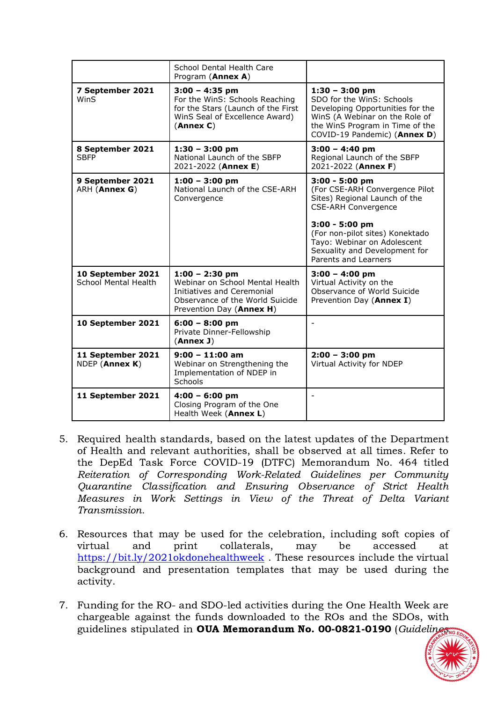|                                                  | School Dental Health Care<br>Program (Annex A)                                                                                                   |                                                                                                                                                                                        |
|--------------------------------------------------|--------------------------------------------------------------------------------------------------------------------------------------------------|----------------------------------------------------------------------------------------------------------------------------------------------------------------------------------------|
| 7 September 2021<br>WinS                         | $3:00 - 4:35$ pm<br>For the WinS: Schools Reaching<br>for the Stars (Launch of the First<br>WinS Seal of Excellence Award)<br>(Annex C)          | $1:30 - 3:00$ pm<br>SDO for the WinS: Schools<br>Developing Opportunities for the<br>WinS (A Webinar on the Role of<br>the WinS Program in Time of the<br>COVID-19 Pandemic) (Annex D) |
| 8 September 2021<br><b>SBFP</b>                  | $1:30 - 3:00$ pm<br>National Launch of the SBFP<br>2021-2022 (Annex E)                                                                           | $3:00 - 4:40$ pm<br>Regional Launch of the SBFP<br>2021-2022 (Annex F)                                                                                                                 |
| 9 September 2021<br>ARH (Annex G)                | $1:00 - 3:00$ pm<br>National Launch of the CSE-ARH<br>Convergence                                                                                | 3:00 - 5:00 pm<br>(For CSE-ARH Convergence Pilot<br>Sites) Regional Launch of the<br><b>CSE-ARH Convergence</b>                                                                        |
|                                                  |                                                                                                                                                  | 3:00 - 5:00 pm<br>(For non-pilot sites) Konektado<br>Tayo: Webinar on Adolescent<br>Sexuality and Development for<br>Parents and Learners                                              |
| 10 September 2021<br><b>School Mental Health</b> | $1:00 - 2:30$ pm<br>Webinar on School Mental Health<br>Initiatives and Ceremonial<br>Observance of the World Suicide<br>Prevention Day (Annex H) | $3:00 - 4:00$ pm<br>Virtual Activity on the<br>Observance of World Suicide<br>Prevention Day (Annex I)                                                                                 |
| 10 September 2021                                | $6:00 - 8:00$ pm<br>Private Dinner-Fellowship<br>(Annex J)                                                                                       | $\overline{\phantom{a}}$                                                                                                                                                               |
| 11 September 2021<br>NDEP (Annex K)              | $9:00 - 11:00$ am<br>Webinar on Strengthening the<br>Implementation of NDEP in<br>Schools                                                        | $2:00 - 3:00$ pm<br>Virtual Activity for NDEP                                                                                                                                          |
| 11 September 2021                                | $4:00 - 6:00$ pm<br>Closing Program of the One<br>Health Week (Annex L)                                                                          | ÷,                                                                                                                                                                                     |

- 5. Required health standards, based on the latest updates of the Department of Health and relevant authorities, shall be observed at all times. Refer to the DepEd Task Force COVID-19 (DTFC) Memorandum No. 464 titled Reiteration of Corresponding Work-Related Guidelines per Community Quarantine Classification and Ensuring Observance of Strict Health Measures in Work Settings in View of the Threat of Delta Variant Transmission.
- 6. Resources that may be used for the celebration, including soft copies of virtual and print collaterals, may be accessed at virtual and print collaterals, may be accessed at <https://bit.ly/2021okdonehealthweek> . These resources include the virtual background and presentation templates that may be used during the activity.
- 7. Funding for the RO- and SDO-led activities during the One Health Week are chargeable against the funds downloaded to the ROs and the SDOs, with guidelines stipulated in OUA Memorandum No. 00-0821-0190 (Guideline

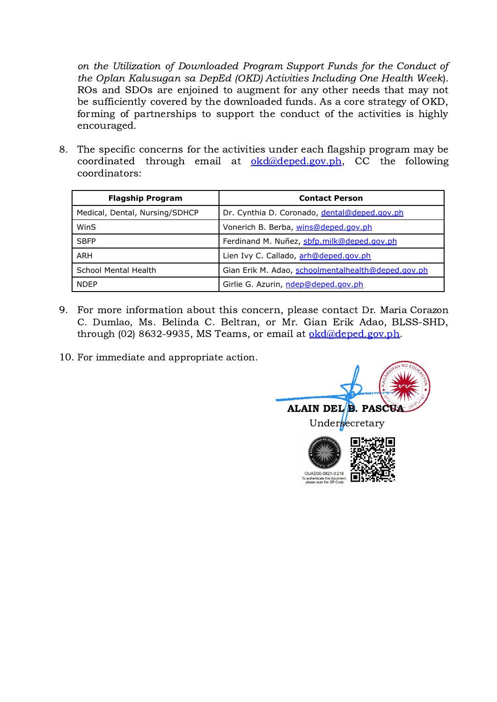on the Utilization of Downloaded Program Support Funds for the Conduct of the Oplan Kalusugan sa DepEd (OKD) Activities Including One Health Week). ROs and SDOs are enjoined to augment for any other needs that may not be sufficiently covered by the downloaded funds. As a core strategy of OKD, forming of partnerships to support the conduct of the activities is highly encouraged.

8. The specific concerns for the activities under each flagship program may be coordinated through email at  $\alpha$  okd $\alpha$ deped.gov.ph, CC the following coordinators:

| <b>Flagship Program</b>        | <b>Contact Person</b>                              |
|--------------------------------|----------------------------------------------------|
| Medical, Dental, Nursing/SDHCP | Dr. Cynthia D. Coronado, dental@deped.gov.ph       |
| WinS                           | Vonerich B. Berba, wins@deped.gov.ph               |
| <b>SBFP</b>                    | Ferdinand M. Nuñez, sbfp.milk@deped.gov.ph         |
| ARH                            | Lien Ivy C. Callado, arh@deped.gov.ph              |
| School Mental Health           | Gian Erik M. Adao, schoolmentalhealth@deped.gov.ph |
| <b>NDFP</b>                    | Girlie G. Azurin, ndep@deped.gov.ph                |

9. For more information about this concern, please contact Dr. Maria Corazon C. Dumlao, Ms. Belinda C. Beltran, or Mr. Gian Erik Adao, BLSS-SHD, through (02) 8632-9935, MS Teams, or email at [okd@deped.gov.ph.](mailto:okd@deped.gov.ph)

10. For immediate and appropriate action.

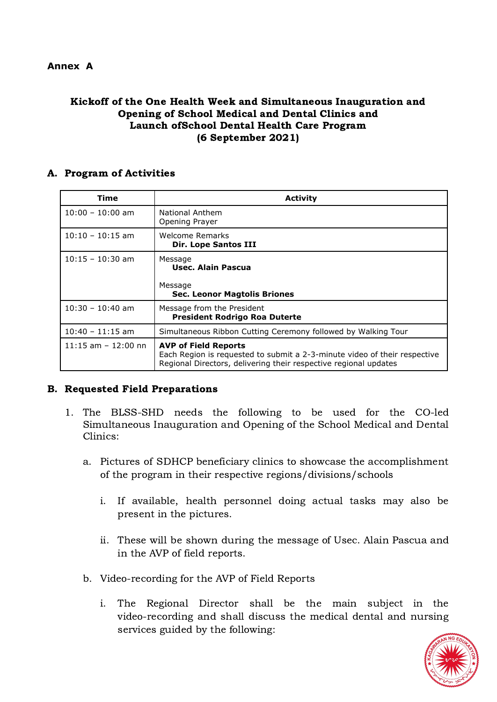#### **Annex A**

# Kickoff of the One Health Week and Simultaneous Inauguration and Opening of School Medical and Dental Clinics and Launch ofSchool Dental Health Care Program (6 September 2021)

#### A. Program of Activities

| Time                   | <b>Activity</b>                                                                                                                                                              |
|------------------------|------------------------------------------------------------------------------------------------------------------------------------------------------------------------------|
| $10:00 - 10:00$ am     | National Anthem<br>Opening Prayer                                                                                                                                            |
| $10:10 - 10:15$ am     | Welcome Remarks<br><b>Dir. Lope Santos III</b>                                                                                                                               |
| $10:15 - 10:30$ am     | Message<br>Usec. Alain Pascua                                                                                                                                                |
|                        | Message<br><b>Sec. Leonor Magtolis Briones</b>                                                                                                                               |
| $10:30 - 10:40$ am     | Message from the President<br><b>President Rodrigo Roa Duterte</b>                                                                                                           |
| $10:40 - 11:15$ am     | Simultaneous Ribbon Cutting Ceremony followed by Walking Tour                                                                                                                |
| $11:15$ am $-12:00$ nn | <b>AVP of Field Reports</b><br>Each Region is requested to submit a 2-3-minute video of their respective<br>Regional Directors, delivering their respective regional updates |

# B. Requested Field Preparations

- 1. The BLSS-SHD needs the following to be used for the CO-led Simultaneous Inauguration and Opening of the School Medical and Dental Clinics:
	- a. Pictures of SDHCP beneficiary clinics to showcase the accomplishment of the program in their respective regions/divisions/schools
		- i. If available, health personnel doing actual tasks may also be present in the pictures.
		- ii. These will be shown during the message of Usec. Alain Pascua and in the AVP of field reports.
	- b. Video-recording for the AVP of Field Reports
		- i. The Regional Director shall be the main subject in the video-recording and shall discuss the medical dental and nursing services guided by the following:

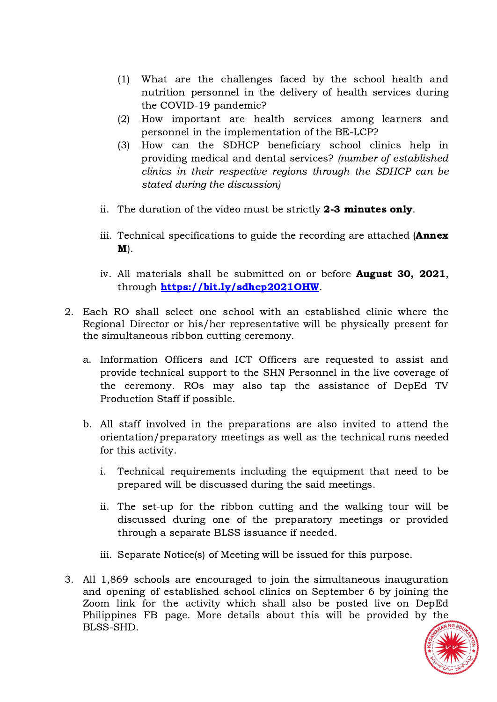- (1) What are the challenges faced by the school health and nutrition personnel in the delivery of health services during the COVID-19 pandemic?
- (2) How important are health services among learners and personnel in the implementation of the BE-LCP?
- (3) How can the SDHCP beneficiary school clinics help in providing medical and dental services? (number of established clinics in their respective regions through the SDHCP can be stated during the discussion)
- ii. The duration of the video must be strictly 2-3 minutes only.
- iii. Technical specifications to guide the recording are attached (**Annex** M).
- iv. All materials shall be submitted on or before August 30, 2021, through <https://bit.ly/sdhcp2021OHW>.
- 2. Each RO shall select one school with an established clinic where the Regional Director or his/her representative will be physically present for the simultaneous ribbon cutting ceremony.
	- a. Information Officers and ICT Officers are requested to assist and provide technical support to the SHN Personnel in the live coverage of the ceremony. ROs may also tap the assistance of DepEd TV Production Staff if possible.
	- b. All staff involved in the preparations are also invited to attend the orientation/preparatory meetings as well as the technical runs needed for this activity.
		- i. Technical requirements including the equipment that need to be prepared will be discussed during the said meetings.
		- ii. The set-up for the ribbon cutting and the walking tour will be discussed during one of the preparatory meetings or provided through a separate BLSS issuance if needed.
		- iii. Separate Notice(s) of Meeting will be issued for this purpose.
- 3. All 1,869 schools are encouraged to join the simultaneous inauguration and opening of established school clinics on September 6 by joining the Zoom link for the activity which shall also be posted live on DepEd Philippines FB page. More details about this will be provided by the BLSS-SHD.

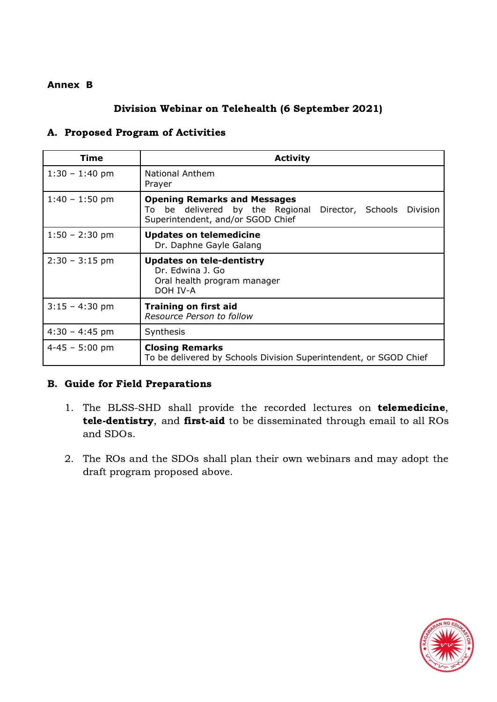#### **Annex B**

# Division Webinar on Telehealth (6 September 2021)

#### A. Proposed Program of Activities

| Time               | <b>Activity</b>                                                                                                                                 |
|--------------------|-------------------------------------------------------------------------------------------------------------------------------------------------|
| $1:30 - 1:40$ pm   | <b>National Anthem</b><br>Prayer                                                                                                                |
| $1:40 - 1:50$ pm   | <b>Opening Remarks and Messages</b><br>be delivered by the Regional<br>Director, Schools<br>Division<br>To<br>Superintendent, and/or SGOD Chief |
| $1:50 - 2:30$ pm   | <b>Updates on telemedicine</b><br>Dr. Daphne Gayle Galang                                                                                       |
| $2:30 - 3:15$ pm   | <b>Updates on tele-dentistry</b><br>Dr. Edwina 1. Go<br>Oral health program manager<br>DOH IV-A                                                 |
| $3:15 - 4:30$ pm   | <b>Training on first aid</b><br>Resource Person to follow                                                                                       |
| $4:30 - 4:45$ pm   | Synthesis                                                                                                                                       |
| $4 - 45 - 5:00$ pm | <b>Closing Remarks</b><br>To be delivered by Schools Division Superintendent, or SGOD Chief                                                     |

# B. Guide for Field Preparations

- 1. The BLSS-SHD shall provide the recorded lectures on **telemedicine**, tele-dentistry, and first-aid to be disseminated through email to all ROs and SDOs.
- 2. The ROs and the SDOs shall plan their own webinars and may adopt the draft program proposed above.

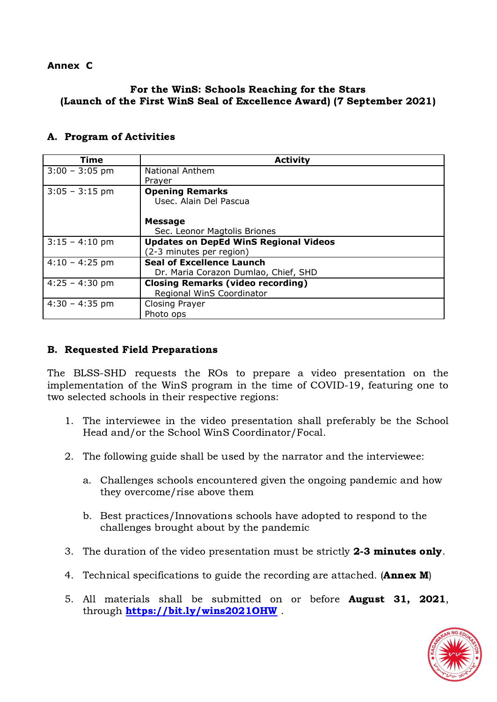#### **Annex C**

# For the WinS: Schools Reaching for the Stars (Launch of the First WinS Seal of Excellence Award) (7 September 2021)

#### A. Program of Activities

| Time             | <b>Activity</b>                              |
|------------------|----------------------------------------------|
| $3:00 - 3:05$ pm | <b>National Anthem</b>                       |
|                  | Prayer                                       |
| $3:05 - 3:15$ pm | <b>Opening Remarks</b>                       |
|                  | Usec. Alain Del Pascua                       |
|                  |                                              |
|                  | <b>Message</b>                               |
|                  | Sec. Leonor Magtolis Briones                 |
| $3:15 - 4:10$ pm | <b>Updates on DepEd WinS Regional Videos</b> |
|                  | (2-3 minutes per region)                     |
| $4:10 - 4:25$ pm | <b>Seal of Excellence Launch</b>             |
|                  | Dr. Maria Corazon Dumlao, Chief, SHD         |
| $4:25 - 4:30$ pm | <b>Closing Remarks (video recording)</b>     |
|                  | Regional WinS Coordinator                    |
| $4:30 - 4:35$ pm | <b>Closing Prayer</b>                        |
|                  | Photo ops                                    |

# B. Requested Field Preparations

The BLSS-SHD requests the ROs to prepare a video presentation on the implementation of the WinS program in the time of COVID-19, featuring one to two selected schools in their respective regions:

- 1. The interviewee in the video presentation shall preferably be the School Head and/or the School WinS Coordinator/Focal.
- 2. The following guide shall be used by the narrator and the interviewee:
	- a. Challenges schools encountered given the ongoing pandemic and how they overcome/rise above them
	- b. Best practices/Innovations schools have adopted to respond to the challenges brought about by the pandemic
- 3. The duration of the video presentation must be strictly 2-3 minutes only.
- 4. Technical specifications to guide the recording are attached. (**Annex M**)
- 5. All materials shall be submitted on or before August 31, 2021, through <https://bit.ly/wins2021OHW>.

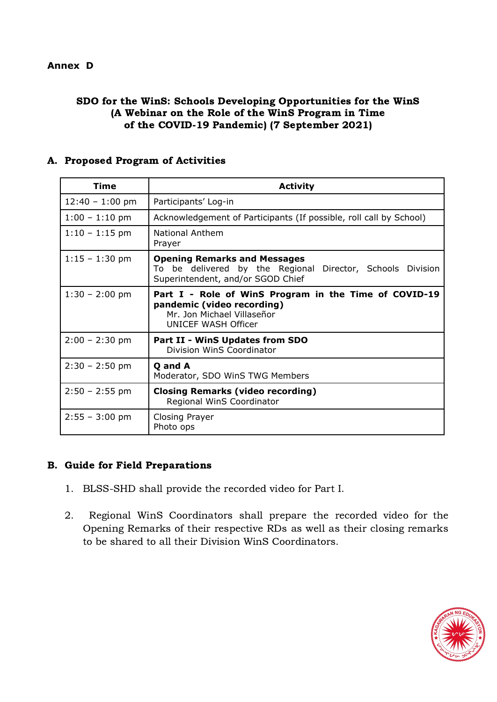#### **Annex D**

#### SDO for the WinS: Schools Developing Opportunities for the WinS (A Webinar on the Role of the WinS Program in Time of the COVID-19 Pandemic) (7 September 2021)

#### A. Proposed Program of Activities

| <b>Time</b>       | <b>Activity</b>                                                                                                                          |
|-------------------|------------------------------------------------------------------------------------------------------------------------------------------|
| $12:40 - 1:00$ pm | Participants' Log-in                                                                                                                     |
| $1:00 - 1:10$ pm  | Acknowledgement of Participants (If possible, roll call by School)                                                                       |
| $1:10 - 1:15$ pm  | National Anthem<br>Prayer                                                                                                                |
| $1:15 - 1:30$ pm  | <b>Opening Remarks and Messages</b><br>To be delivered by the Regional Director, Schools Division<br>Superintendent, and/or SGOD Chief   |
| $1:30 - 2:00$ pm  | Part I - Role of WinS Program in the Time of COVID-19<br>pandemic (video recording)<br>Mr. Jon Michael Villaseñor<br>UNICEF WASH Officer |
| $2:00 - 2:30$ pm  | <b>Part II - WinS Updates from SDO</b><br>Division WinS Coordinator                                                                      |
| $2:30 - 2:50$ pm  | Q and A<br>Moderator, SDO WinS TWG Members                                                                                               |
| $2:50 - 2:55$ pm  | <b>Closing Remarks (video recording)</b><br>Regional WinS Coordinator                                                                    |
| $2:55 - 3:00$ pm  | <b>Closing Prayer</b><br>Photo ops                                                                                                       |

# B. Guide for Field Preparations

- 1. BLSS-SHD shall provide the recorded video for Part I.
- 2. Regional WinS Coordinators shall prepare the recorded video for the Opening Remarks of their respective RDs as well as their closing remarks to be shared to all their Division WinS Coordinators.

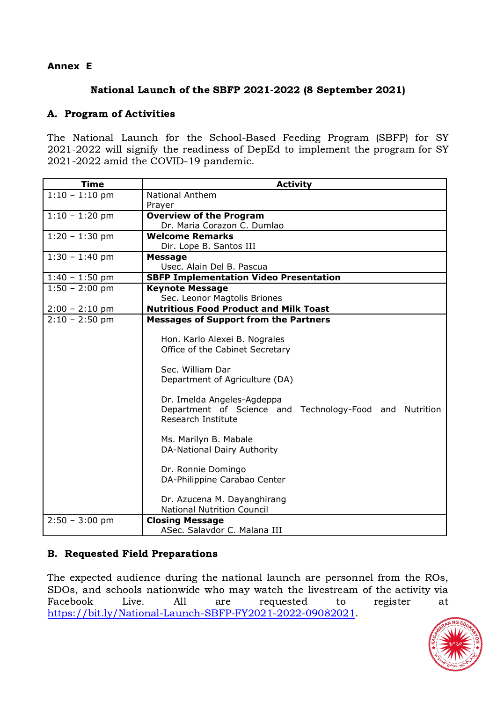# **Annex E**

#### National Launch of the SBFP 2021-2022 (8 September 2021)

# A. Program of Activities

The National Launch for the School-Based Feeding Program (SBFP) for SY 2021-2022 will signify the readiness of DepEd to implement the program for SY 2021-2022 amid the COVID-19 pandemic.

| <b>Time</b>      | <b>Activity</b>                                         |
|------------------|---------------------------------------------------------|
| $1:10 - 1:10$ pm | <b>National Anthem</b>                                  |
|                  | Prayer                                                  |
| $1:10 - 1:20$ pm | <b>Overview of the Program</b>                          |
|                  | Dr. Maria Corazon C. Dumlao                             |
| $1:20 - 1:30$ pm | <b>Welcome Remarks</b>                                  |
|                  | Dir. Lope B. Santos III                                 |
| $1:30 - 1:40$ pm | <b>Message</b>                                          |
|                  | Usec. Alain Del B. Pascua                               |
| $1:40 - 1:50$ pm | <b>SBFP Implementation Video Presentation</b>           |
| $1:50 - 2:00$ pm | <b>Keynote Message</b>                                  |
|                  | Sec. Leonor Magtolis Briones                            |
| $2:00 - 2:10$ pm | <b>Nutritious Food Product and Milk Toast</b>           |
| $2:10 - 2:50$ pm | <b>Messages of Support from the Partners</b>            |
|                  | Hon. Karlo Alexei B. Nograles                           |
|                  | Office of the Cabinet Secretary                         |
|                  | Sec. William Dar                                        |
|                  | Department of Agriculture (DA)                          |
|                  | Dr. Imelda Angeles-Agdeppa                              |
|                  | Department of Science and Technology-Food and Nutrition |
|                  | Research Institute                                      |
|                  | Ms. Marilyn B. Mabale                                   |
|                  | DA-National Dairy Authority                             |
|                  |                                                         |
|                  | Dr. Ronnie Domingo                                      |
|                  | DA-Philippine Carabao Center                            |
|                  |                                                         |
|                  | Dr. Azucena M. Dayanghirang                             |
|                  | <b>National Nutrition Council</b>                       |
| $2:50 - 3:00$ pm | <b>Closing Message</b>                                  |
|                  | ASec. Salavdor C. Malana III                            |

# B. Requested Field Preparations

The expected audience during the national launch are personnel from the ROs, SDOs, and schools nationwide who may watch the livestream of the activity via Facebook Live. All are requested to register at Facebook Live. All are requested to<br><https://bit.ly/National-Launch-SBFP-FY2021-2022-09082021>.

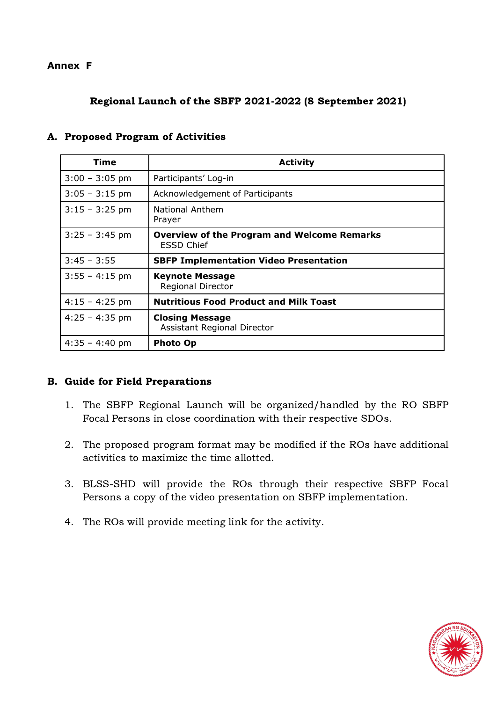#### **Annex F**

# Regional Launch of the SBFP 2021-2022 (8 September 2021)

| Time             | <b>Activity</b>                                                         |
|------------------|-------------------------------------------------------------------------|
| $3:00 - 3:05$ pm | Participants' Log-in                                                    |
| $3:05 - 3:15$ pm | Acknowledgement of Participants                                         |
| $3:15 - 3:25$ pm | National Anthem<br>Prayer                                               |
| $3:25 - 3:45$ pm | <b>Overview of the Program and Welcome Remarks</b><br><b>ESSD Chief</b> |
| $3:45 - 3:55$    | <b>SBFP Implementation Video Presentation</b>                           |
| $3:55 - 4:15$ pm | <b>Keynote Message</b><br>Regional Director                             |
| $4:15 - 4:25$ pm | <b>Nutritious Food Product and Milk Toast</b>                           |
| $4:25 - 4:35$ pm | <b>Closing Message</b><br>Assistant Regional Director                   |
| $4:35 - 4:40$ pm | <b>Photo Op</b>                                                         |

#### A. Proposed Program of Activities

# B. Guide for Field Preparations

- 1. The SBFP Regional Launch will be organized/handled by the RO SBFP Focal Persons in close coordination with their respective SDOs.
- 2. The proposed program format may be modified if the ROs have additional activities to maximize the time allotted.
- 3. BLSS-SHD will provide the ROs through their respective SBFP Focal Persons a copy of the video presentation on SBFP implementation.
- 4. The ROs will provide meeting link for the activity.

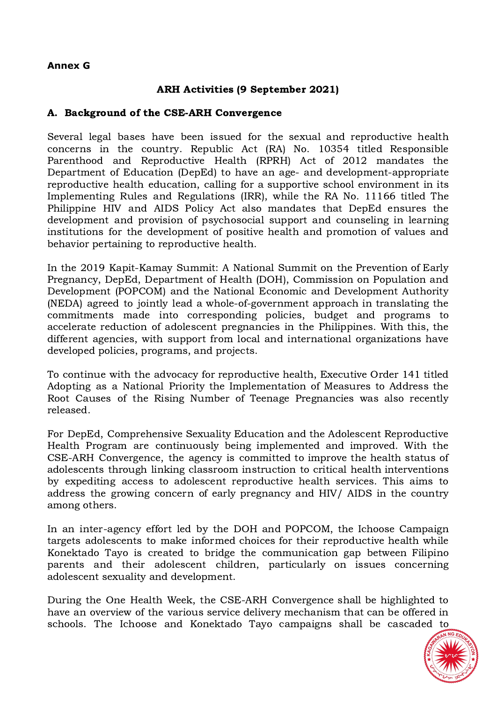#### **Annex G**

# ARH Activities (9 September 2021)

#### A. Background of the CSE-ARH Convergence

Several legal bases have been issued for the sexual and reproductive health concerns in the country. Republic Act (RA) No. 10354 titled Responsible Parenthood and Reproductive Health (RPRH) Act of 2012 mandates the Department of Education (DepEd) to have an age- and development-appropriate reproductive health education, calling for a supportive school environment in its Implementing Rules and Regulations (IRR), while the RA No. 11166 titled The Philippine HIV and AIDS Policy Act also mandates that DepEd ensures the development and provision of psychosocial support and counseling in learning institutions for the development of positive health and promotion of values and behavior pertaining to reproductive health.

In the 2019 Kapit-Kamay Summit: A National Summit on the Prevention of Early Pregnancy, DepEd, Department of Health (DOH), Commission on Population and Development (POPCOM) and the National Economic and Development Authority (NEDA) agreed to jointly lead a whole-of-government approach in translating the commitments made into corresponding policies, budget and programs to accelerate reduction of adolescent pregnancies in the Philippines. With this, the different agencies, with support from local and international organizations have developed policies, programs, and projects.

To continue with the advocacy for reproductive health, Executive Order 141 titled Adopting as a National Priority the Implementation of Measures to Address the Root Causes of the Rising Number of Teenage Pregnancies was also recently released.

For DepEd, Comprehensive Sexuality Education and the Adolescent Reproductive Health Program are continuously being implemented and improved. With the CSE-ARH Convergence, the agency is committed to improve the health status of adolescents through linking classroom instruction to critical health interventions by expediting access to adolescent reproductive health services. This aims to address the growing concern of early pregnancy and HIV/ AIDS in the country among others.

In an inter-agency effort led by the DOH and POPCOM, the Ichoose Campaign targets adolescents to make informed choices for their reproductive health while Konektado Tayo is created to bridge the communication gap between Filipino parents and their adolescent children, particularly on issues concerning adolescent sexuality and development.

During the One Health Week, the CSE-ARH Convergence shall be highlighted to have an overview of the various service delivery mechanism that can be offered in schools. The Ichoose and Konektado Tayo campaigns shall be cascaded to

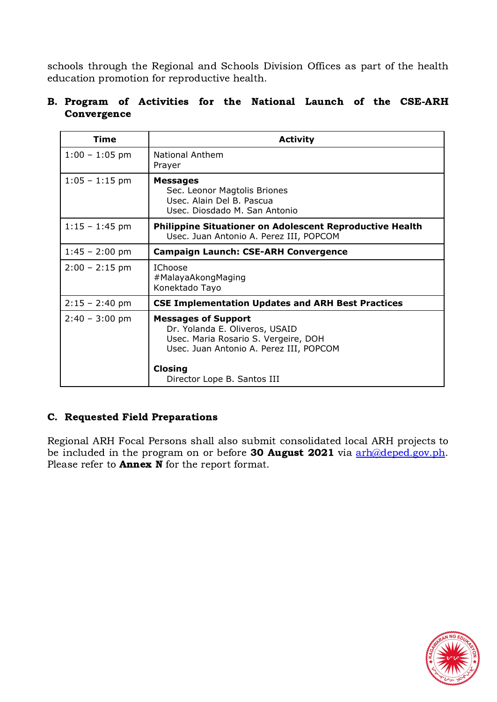schools through the Regional and Schools Division Offices as part of the health education promotion for reproductive health.

# B. Program of Activities for the National Launch of the CSE-ARH Convergence

| <b>Time</b>      | <b>Activity</b>                                                                                                                                                                                  |
|------------------|--------------------------------------------------------------------------------------------------------------------------------------------------------------------------------------------------|
| $1:00 - 1:05$ pm | <b>National Anthem</b><br>Prayer                                                                                                                                                                 |
| $1:05 - 1:15$ pm | <b>Messages</b><br>Sec. Leonor Magtolis Briones<br>Usec. Alain Del B. Pascua<br>Usec. Diosdado M. San Antonio                                                                                    |
| $1:15 - 1:45$ pm | Philippine Situationer on Adolescent Reproductive Health<br>Usec. Juan Antonio A. Perez III, POPCOM                                                                                              |
| $1:45 - 2:00$ pm | <b>Campaign Launch: CSE-ARH Convergence</b>                                                                                                                                                      |
| $2:00 - 2:15$ pm | <b>IChoose</b><br>#MalayaAkongMaging<br>Konektado Tayo                                                                                                                                           |
| $2:15 - 2:40$ pm | <b>CSE Implementation Updates and ARH Best Practices</b>                                                                                                                                         |
| $2:40 - 3:00$ pm | <b>Messages of Support</b><br>Dr. Yolanda E. Oliveros, USAID<br>Usec. Maria Rosario S. Vergeire, DOH<br>Usec. Juan Antonio A. Perez III, POPCOM<br><b>Closing</b><br>Director Lope B. Santos III |

# C. Requested Field Preparations

Regional ARH Focal Persons shall also submit consolidated local ARH projects to be included in the program on or before **30 August 2021** via [arh@deped.gov.ph](mailto:arh@deped.gov.ph). Please refer to **Annex N** for the report format.

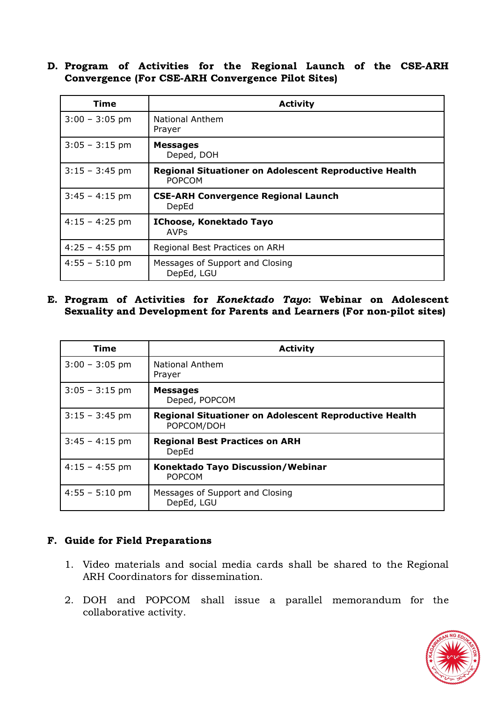D. Program of Activities for the Regional Launch of the CSE-ARH Convergence (For CSE-ARH Convergence Pilot Sites)

| Time                     | <b>Activity</b>                                                                |
|--------------------------|--------------------------------------------------------------------------------|
| $3:00 - 3:05$ pm         | <b>National Anthem</b><br>Prayer                                               |
| $3:05 - 3:15$ pm         | <b>Messages</b><br>Deped, DOH                                                  |
| $3:15 - 3:45$ pm         | <b>Regional Situationer on Adolescent Reproductive Health</b><br><b>POPCOM</b> |
| $3:45 - 4:15$ pm         | <b>CSE-ARH Convergence Regional Launch</b><br>DepEd                            |
| $4:15 - 4:25$ pm         | IChoose, Konektado Tayo<br><b>AVPs</b>                                         |
| $4:25 - 4:55$ pm         | Regional Best Practices on ARH                                                 |
| $4:55 - 5:10 \text{ pm}$ | Messages of Support and Closing<br>DepEd, LGU                                  |

E. Program of Activities for Konektado Tayo: Webinar on Adolescent Sexuality and Development for Parents and Learners (For non-pilot sites)

| <b>Time</b>      | <b>Activity</b>                                                             |
|------------------|-----------------------------------------------------------------------------|
| $3:00 - 3:05$ pm | <b>National Anthem</b><br>Prayer                                            |
| $3:05 - 3:15$ pm | <b>Messages</b><br>Deped, POPCOM                                            |
| $3:15 - 3:45$ pm | <b>Regional Situationer on Adolescent Reproductive Health</b><br>POPCOM/DOH |
| $3:45 - 4:15$ pm | <b>Regional Best Practices on ARH</b><br>DepEd                              |
| $4:15 - 4:55$ pm | Konektado Tayo Discussion/Webinar<br><b>POPCOM</b>                          |
| $4:55 - 5:10$ pm | Messages of Support and Closing<br>DepEd, LGU                               |

# F. Guide for Field Preparations

- 1. Video materials and social media cards shall be shared to the Regional ARH Coordinators for dissemination.
- 2. DOH and POPCOM shall issue a parallel memorandum for the collaborative activity.

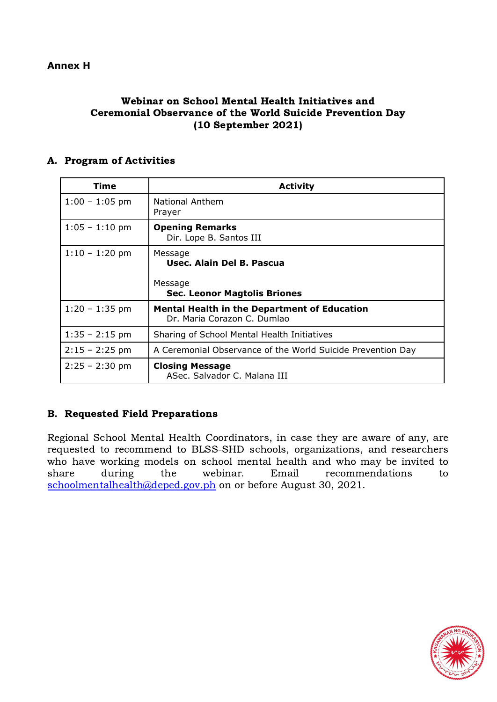# Webinar on School Mental Health Initiatives and Ceremonial Observance of the World Suicide Prevention Day (10 September 2021)

# A. Program of Activities

| <b>Time</b>      | <b>Activity</b>                                                                    |
|------------------|------------------------------------------------------------------------------------|
| $1:00 - 1:05$ pm | <b>National Anthem</b><br>Prayer                                                   |
| $1:05 - 1:10$ pm | <b>Opening Remarks</b><br>Dir. Lope B. Santos III                                  |
| $1:10 - 1:20$ pm | Message<br>Usec. Alain Del B. Pascua                                               |
|                  | Message<br><b>Sec. Leonor Magtolis Briones</b>                                     |
| $1:20 - 1:35$ pm | <b>Mental Health in the Department of Education</b><br>Dr. Maria Corazon C. Dumlao |
| $1:35 - 2:15$ pm | Sharing of School Mental Health Initiatives                                        |
| $2:15 - 2:25$ pm | A Ceremonial Observance of the World Suicide Prevention Day                        |
| $2:25 - 2:30$ pm | <b>Closing Message</b><br>ASec. Salvador C. Malana III                             |

# B. Requested Field Preparations

Regional School Mental Health Coordinators, in case they are aware of any, are requested to recommend to BLSS-SHD schools, organizations, and researchers who have working models on school mental health and who may be invited to who have working models on serioor meritar freater and who may be invited to<br>share during the webinar. Email recommendations to share during the webinar. Email recommendations [schoolmentalhealth@deped.gov.ph](mailto:schoolmentalhealth@deped.gov.ph) on or before August 30, 2021.

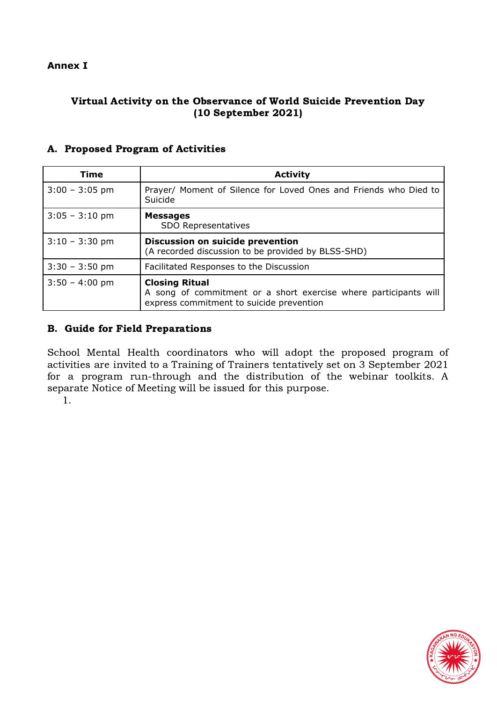#### **Annex I**

# Virtual Activity on the Observance of World Suicide Prevention Day (10 September 2021)

| <b>Time</b>              | <b>Activity</b>                                                                                                                       |
|--------------------------|---------------------------------------------------------------------------------------------------------------------------------------|
| $3:00 - 3:05$ pm         | Prayer/ Moment of Silence for Loved Ones and Friends who Died to<br>Suicide                                                           |
| $3:05 - 3:10 \text{ pm}$ | <b>Messages</b><br>SDO Representatives                                                                                                |
| $3:10 - 3:30$ pm         | <b>Discussion on suicide prevention</b><br>(A recorded discussion to be provided by BLSS-SHD)                                         |
| $3:30 - 3:50$ pm         | Facilitated Responses to the Discussion                                                                                               |
| $3:50 - 4:00$ pm         | <b>Closing Ritual</b><br>A song of commitment or a short exercise where participants will<br>express commitment to suicide prevention |

#### A. Proposed Program of Activities

#### B. Guide for Field Preparations

School Mental Health coordinators who will adopt the proposed program of activities are invited to a Training of Trainers tentatively set on 3 September 2021 for a program run-through and the distribution of the webinar toolkits. A separate Notice of Meeting will be issued for this purpose.

1.

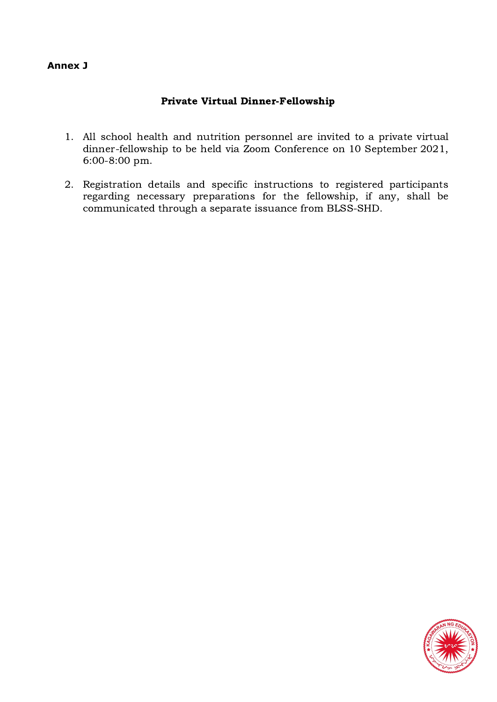#### **Annex J**

# Private Virtual Dinner-Fellowship

- 1. All school health and nutrition personnel are invited to a private virtual dinner-fellowship to be held via Zoom Conference on 10 September 2021, 6:00-8:00 pm.
- 2. Registration details and specific instructions to registered participants regarding necessary preparations for the fellowship, if any, shall be communicated through a separate issuance from BLSS-SHD.

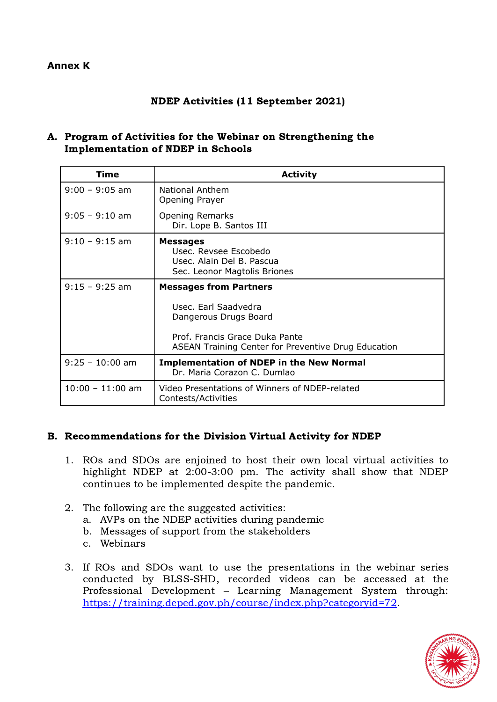#### **Annex K**

#### NDEP Activities (11 September 2021)

#### A. Program of Activities for the Webinar on Strengthening the Implementation of NDEP in Schools

| <b>Time</b>        | <b>Activity</b>                                                                                                                                                         |
|--------------------|-------------------------------------------------------------------------------------------------------------------------------------------------------------------------|
| $9:00 - 9:05$ am   | <b>National Anthem</b><br>Opening Prayer                                                                                                                                |
| $9:05 - 9:10$ am   | <b>Opening Remarks</b><br>Dir. Lope B. Santos III                                                                                                                       |
| $9:10 - 9:15$ am   | <b>Messages</b><br>Usec. Revsee Escobedo<br>Usec. Alain Del B. Pascua<br>Sec. Leonor Magtolis Briones                                                                   |
| $9:15 - 9:25$ am   | <b>Messages from Partners</b><br>Usec. Earl Saadvedra<br>Dangerous Drugs Board<br>Prof. Francis Grace Duka Pante<br>ASEAN Training Center for Preventive Drug Education |
| $9:25 - 10:00$ am  | <b>Implementation of NDEP in the New Normal</b><br>Dr. Maria Corazon C. Dumlao                                                                                          |
| $10:00 - 11:00$ am | Video Presentations of Winners of NDEP-related<br>Contests/Activities                                                                                                   |

#### B. Recommendations for the Division Virtual Activity for NDEP

- 1. ROs and SDOs are enjoined to host their own local virtual activities to highlight NDEP at 2:00-3:00 pm. The activity shall show that NDEP continues to be implemented despite the pandemic.
- 2. The following are the suggested activities: a. AVPs on the NDEP activities during pandemic
	- b. Messages of support from the stakeholders
	- c. Webinars
- 3. If ROs and SDOs want to use the presentations in the webinar series conducted by BLSS-SHD, recorded videos can be accessed at the Professional Development – Learning Management System through: <https://training.deped.gov.ph/course/index.php?categoryid=72>.

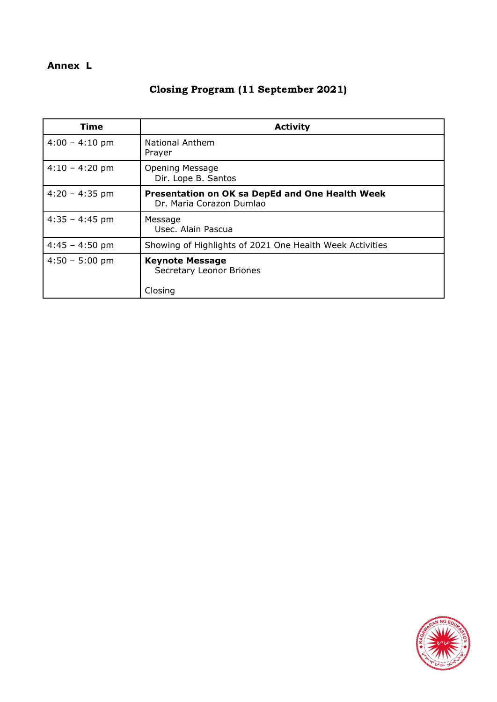# **Annex L**

# Closing Program (11 September 2021)

| <b>Activity</b>                                                             |
|-----------------------------------------------------------------------------|
| <b>National Anthem</b><br>Prayer                                            |
| <b>Opening Message</b><br>Dir. Lope B. Santos                               |
| Presentation on OK sa DepEd and One Health Week<br>Dr. Maria Corazon Dumlao |
| Message<br>Usec. Alain Pascua                                               |
| Showing of Highlights of 2021 One Health Week Activities                    |
| <b>Keynote Message</b><br>Secretary Leonor Briones<br>Closing               |
|                                                                             |

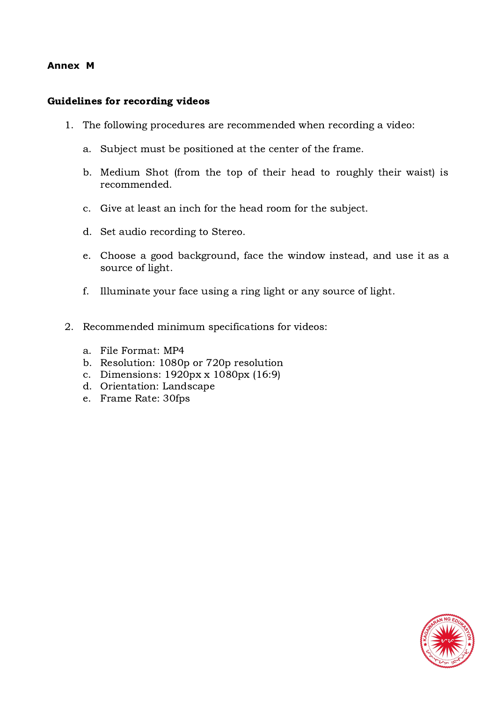#### **Annex M**

#### Guidelines for recording videos

- 1. The following procedures are recommended when recording a video:
	- a. Subject must be positioned at the center of the frame.
	- b. Medium Shot (from the top of their head to roughly their waist) is recommended.
	- c. Give at least an inch for the head room for the subject.
	- d. Set audio recording to Stereo.
	- e. Choose a good background, face the window instead, and use it as a source of light.
	- f. Illuminate your face using a ring light or any source of light.
- 2. Recommended minimum specifications for videos:
	- a. File Format: MP4
	- b. Resolution: 1080p or 720p resolution
	- c. Dimensions: 1920px x 1080px (16:9)
	- d. Orientation: Landscape
	- e. Frame Rate: 30fps

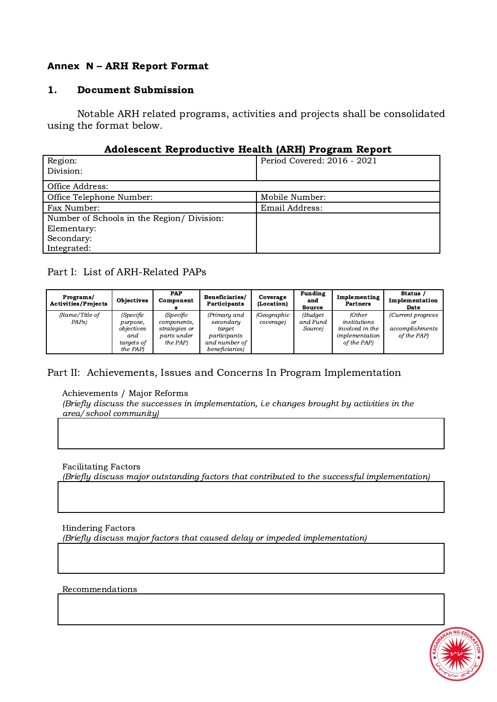# **Annex N** – ARH Report Format

#### 1. Document Submission

Notable ARH related programs, activities and projects shall be consolidated using the format below.

#### Adolescent Reproductive Health (ARH) Program Report

|                                            | -                           |
|--------------------------------------------|-----------------------------|
| Region:                                    | Period Covered: 2016 - 2021 |
| Division:                                  |                             |
|                                            |                             |
| Office Address:                            |                             |
| Office Telephone Number:                   | Mobile Number:              |
| Fax Number:                                | Email Address:              |
| Number of Schools in the Region/ Division: |                             |
| Elementary:                                |                             |
| Secondary:                                 |                             |
| Integrated:                                |                             |

# Part I: List of ARH-Related PAPs

| Programs/<br><b>Activities/Projects</b> | <b>Objectives</b>                                                           | PAP<br>Component                                                            | Beneficiaries/<br>Participants                                                         | Coverage<br>(Location)   | <b>Funding</b><br>and<br><b>Source</b> | Implementing<br><b>Partners</b>                                            | Status /<br>Implementation<br>Date                         |
|-----------------------------------------|-----------------------------------------------------------------------------|-----------------------------------------------------------------------------|----------------------------------------------------------------------------------------|--------------------------|----------------------------------------|----------------------------------------------------------------------------|------------------------------------------------------------|
| (Name/Title of<br>PAPs)                 | <i>(Specific</i><br>purpose,<br>objectives<br>and<br>targets of<br>the PAP) | <i>(Specific</i><br>components,<br>strategies or<br>parts under<br>the PAP) | (Primary and<br>secondary<br>target<br>participants<br>and number of<br>beneficiaries) | (Geographic<br>coverage) | (Budget<br>and Fund<br>Source)         | (Other<br>institutions<br>involved in the<br>implementation<br>of the PAP) | (Current progress)<br>or<br>accomplishments<br>of the PAP) |

# Part II: Achievements, Issues and Concerns In Program Implementation

Achievements / Major Reforms

(Briefly discuss the successes in implementation, i.e changes brought by activities in the area/school community)

Facilitating Factors

(Briefly discuss major outstanding factors that contributed to the successful implementation)

Hindering Factors

(Briefly discuss major factors that caused delay or impeded implementation)

Recommendations